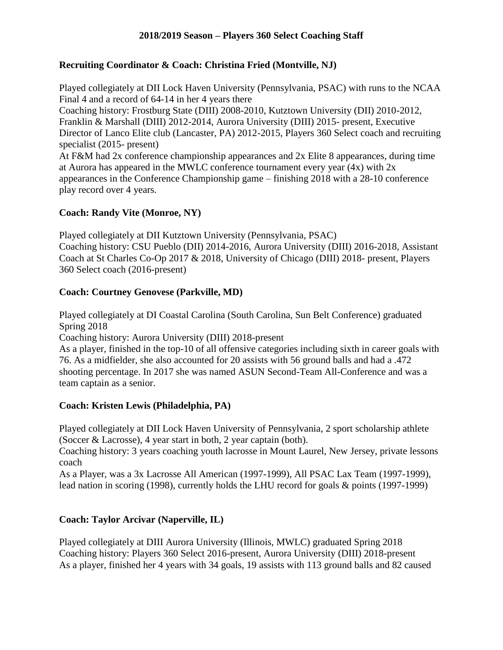# **2018/2019 Season – Players 360 Select Coaching Staff**

#### **Recruiting Coordinator & Coach: Christina Fried (Montville, NJ)**

Played collegiately at DII Lock Haven University (Pennsylvania, PSAC) with runs to the NCAA Final 4 and a record of 64-14 in her 4 years there

Coaching history: Frostburg State (DIII) 2008-2010, Kutztown University (DII) 2010-2012, Franklin & Marshall (DIII) 2012-2014, Aurora University (DIII) 2015- present, Executive Director of Lanco Elite club (Lancaster, PA) 2012-2015, Players 360 Select coach and recruiting specialist (2015- present)

At F&M had 2x conference championship appearances and 2x Elite 8 appearances, during time at Aurora has appeared in the MWLC conference tournament every year (4x) with 2x appearances in the Conference Championship game – finishing 2018 with a 28-10 conference play record over 4 years.

# **Coach: Randy Vite (Monroe, NY)**

Played collegiately at DII Kutztown University (Pennsylvania, PSAC) Coaching history: CSU Pueblo (DII) 2014-2016, Aurora University (DIII) 2016-2018, Assistant Coach at St Charles Co-Op 2017 & 2018, University of Chicago (DIII) 2018- present, Players 360 Select coach (2016-present)

# **Coach: Courtney Genovese (Parkville, MD)**

Played collegiately at DI Coastal Carolina (South Carolina, Sun Belt Conference) graduated Spring 2018

Coaching history: Aurora University (DIII) 2018-present

As a player, finished in the top-10 of all offensive categories including sixth in career goals with 76. As a midfielder, she also accounted for 20 assists with 56 ground balls and had a .472 shooting percentage. In 2017 she was named ASUN Second-Team All-Conference and was a team captain as a senior.

# **Coach: Kristen Lewis (Philadelphia, PA)**

Played collegiately at DII Lock Haven University of Pennsylvania, 2 sport scholarship athlete (Soccer & Lacrosse), 4 year start in both, 2 year captain (both).

Coaching history: 3 years coaching youth lacrosse in Mount Laurel, New Jersey, private lessons coach

As a Player, was a 3x Lacrosse All American (1997-1999), All PSAC Lax Team (1997-1999), lead nation in scoring (1998), currently holds the LHU record for goals & points (1997-1999)

# **Coach: Taylor Arcivar (Naperville, IL)**

Played collegiately at DIII Aurora University (Illinois, MWLC) graduated Spring 2018 Coaching history: Players 360 Select 2016-present, Aurora University (DIII) 2018-present As a player, finished her 4 years with 34 goals, 19 assists with 113 ground balls and 82 caused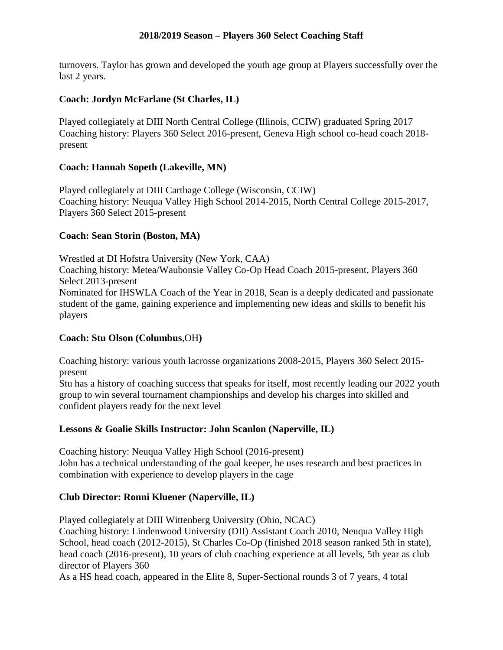#### **2018/2019 Season – Players 360 Select Coaching Staff**

turnovers. Taylor has grown and developed the youth age group at Players successfully over the last 2 years.

#### **Coach: Jordyn McFarlane (St Charles, IL)**

Played collegiately at DIII North Central College (Illinois, CCIW) graduated Spring 2017 Coaching history: Players 360 Select 2016-present, Geneva High school co-head coach 2018 present

# **Coach: Hannah Sopeth (Lakeville, MN)**

Played collegiately at DIII Carthage College (Wisconsin, CCIW) Coaching history: Neuqua Valley High School 2014-2015, North Central College 2015-2017, Players 360 Select 2015-present

# **Coach: Sean Storin (Boston, MA)**

Wrestled at DI Hofstra University (New York, CAA) Coaching history: Metea/Waubonsie Valley Co-Op Head Coach 2015-present, Players 360 Select 2013-present Nominated for IHSWLA Coach of the Year in 2018, Sean is a deeply dedicated and passionate student of the game, gaining experience and implementing new ideas and skills to benefit his players

#### **Coach: Stu Olson (Columbus**,OH**)**

Coaching history: various youth lacrosse organizations 2008-2015, Players 360 Select 2015 present

Stu has a history of coaching success that speaks for itself, most recently leading our 2022 youth group to win several tournament championships and develop his charges into skilled and confident players ready for the next level

#### **Lessons & Goalie Skills Instructor: John Scanlon (Naperville, IL)**

Coaching history: Neuqua Valley High School (2016-present) John has a technical understanding of the goal keeper, he uses research and best practices in combination with experience to develop players in the cage

# **Club Director: Ronni Kluener (Naperville, IL)**

Played collegiately at DIII Wittenberg University (Ohio, NCAC)

Coaching history: Lindenwood University (DII) Assistant Coach 2010, Neuqua Valley High School, head coach (2012-2015), St Charles Co-Op (finished 2018 season ranked 5th in state), head coach (2016-present), 10 years of club coaching experience at all levels, 5th year as club director of Players 360

As a HS head coach, appeared in the Elite 8, Super-Sectional rounds 3 of 7 years, 4 total